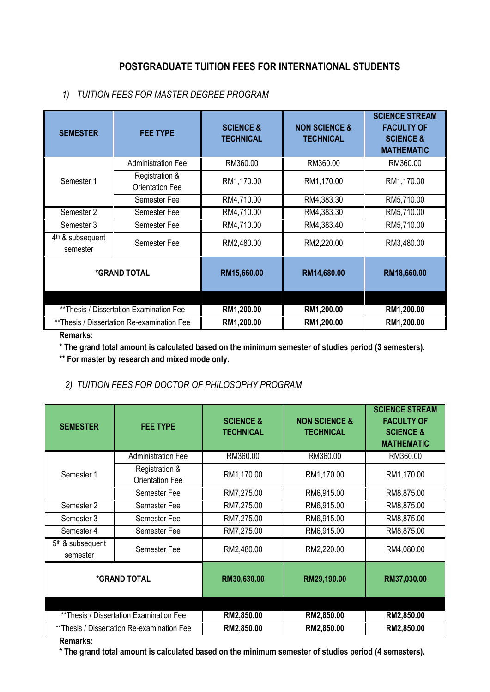# **POSTGRADUATE TUITION FEES FOR INTERNATIONAL STUDENTS**

#### *1) TUITION FEES FOR MASTER DEGREE PROGRAM*

| <b>SEMESTER</b>                            | <b>FEE TYPE</b>                          | <b>SCIENCE &amp;</b><br><b>TECHNICAL</b> | <b>NON SCIENCE &amp;</b><br><b>TECHNICAL</b> | <b>SCIENCE STREAM</b><br><b>FACULTY OF</b><br><b>SCIENCE &amp;</b><br><b>MATHEMATIC</b> |
|--------------------------------------------|------------------------------------------|------------------------------------------|----------------------------------------------|-----------------------------------------------------------------------------------------|
| Semester 1                                 | <b>Administration Fee</b>                | RM360.00                                 | RM360.00                                     | RM360.00                                                                                |
|                                            | Registration &<br><b>Orientation Fee</b> | RM1,170.00                               | RM1,170.00                                   | RM1,170.00                                                                              |
|                                            | Semester Fee                             | RM4,710.00                               | RM4,383.30                                   | RM5,710.00                                                                              |
| Semester 2                                 | Semester Fee                             | RM4,710.00                               | RM4,383.30                                   | RM5,710.00                                                                              |
| Semester 3                                 | Semester Fee                             | RM4,710.00                               | RM4,383.40                                   | RM5,710.00                                                                              |
| 4 <sup>th</sup> & subsequent<br>semester   | Semester Fee                             | RM2,480.00                               | RM2,220.00                                   | RM3,480.00                                                                              |
| <i><b>*GRAND TOTAL</b></i>                 |                                          | RM15,660.00                              | RM14,680.00                                  | RM18,660.00                                                                             |
|                                            |                                          |                                          |                                              |                                                                                         |
| **Thesis / Dissertation Examination Fee    |                                          | RM1,200.00                               | RM1,200.00                                   | RM1,200.00                                                                              |
| **Thesis / Dissertation Re-examination Fee |                                          | RM1,200.00                               | RM1,200.00                                   | RM1,200.00                                                                              |

**Remarks:**

**\* The grand total amount is calculated based on the minimum semester of studies period (3 semesters).**

**\*\* For master by research and mixed mode only.**

## *2) TUITION FEES FOR DOCTOR OF PHILOSOPHY PROGRAM*

| <b>SEMESTER</b>                            | <b>FEE TYPE</b>                          | <b>SCIENCE &amp;</b><br><b>TECHNICAL</b> | <b>NON SCIENCE &amp;</b><br><b>TECHNICAL</b> | <b>SCIENCE STREAM</b><br><b>FACULTY OF</b><br><b>SCIENCE &amp;</b><br><b>MATHEMATIC</b> |
|--------------------------------------------|------------------------------------------|------------------------------------------|----------------------------------------------|-----------------------------------------------------------------------------------------|
| Semester 1                                 | <b>Administration Fee</b>                | RM360.00                                 | RM360.00                                     | RM360.00                                                                                |
|                                            | Registration &<br><b>Orientation Fee</b> | RM1,170.00                               | RM1,170.00                                   | RM1,170.00                                                                              |
|                                            | Semester Fee                             | RM7,275.00                               | RM6,915.00                                   | RM8,875.00                                                                              |
| Semester 2                                 | Semester Fee                             | RM7,275.00                               | RM6,915.00                                   | RM8,875.00                                                                              |
| Semester 3                                 | Semester Fee                             | RM7,275.00                               | RM6,915.00                                   | RM8,875.00                                                                              |
| Semester 4                                 | Semester Fee                             | RM7,275.00                               | RM6,915.00                                   | RM8,875.00                                                                              |
| 5 <sup>th</sup> & subsequent<br>semester   | Semester Fee                             | RM2,480.00                               | RM2,220.00                                   | RM4,080.00                                                                              |
| <i><b>*GRAND TOTAL</b></i>                 |                                          | RM30,630.00                              | RM29,190.00                                  | RM37,030.00                                                                             |
|                                            |                                          |                                          |                                              |                                                                                         |
| ** Thesis / Dissertation Examination Fee   |                                          | RM2,850.00                               | RM2,850.00                                   | RM2,850.00                                                                              |
| **Thesis / Dissertation Re-examination Fee |                                          | RM2,850.00                               | RM2,850.00                                   | RM2,850.00                                                                              |

**Remarks:**

**\* The grand total amount is calculated based on the minimum semester of studies period (4 semesters).**